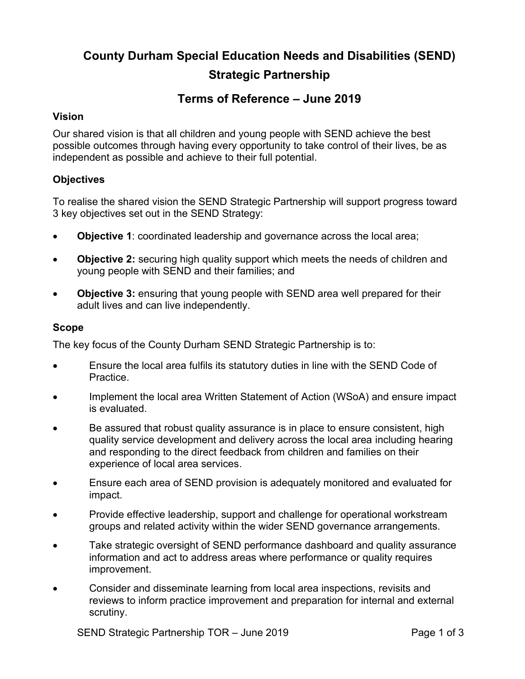# **County Durham Special Education Needs and Disabilities (SEND) Strategic Partnership**

## **Terms of Reference – June 2019**

#### **Vision**

Our shared vision is that all children and young people with SEND achieve the best possible outcomes through having every opportunity to take control of their lives, be as independent as possible and achieve to their full potential.

### **Objectives**

To realise the shared vision the SEND Strategic Partnership will support progress toward 3 key objectives set out in the SEND Strategy:

- **Objective 1:** coordinated leadership and governance across the local area;
- **Objective 2:** securing high quality support which meets the needs of children and young people with SEND and their families; and
- **Objective 3:** ensuring that young people with SEND area well prepared for their adult lives and can live independently.

#### **Scope**

The key focus of the County Durham SEND Strategic Partnership is to:

- Ensure the local area fulfils its statutory duties in line with the SEND Code of Practice.
- Implement the local area Written Statement of Action (WSoA) and ensure impact is evaluated.
- Be assured that robust quality assurance is in place to ensure consistent, high quality service development and delivery across the local area including hearing and responding to the direct feedback from children and families on their experience of local area services.
- Ensure each area of SEND provision is adequately monitored and evaluated for impact.
- Provide effective leadership, support and challenge for operational workstream groups and related activity within the wider SEND governance arrangements.
- Take strategic oversight of SEND performance dashboard and quality assurance information and act to address areas where performance or quality requires improvement.
- Consider and disseminate learning from local area inspections, revisits and reviews to inform practice improvement and preparation for internal and external scrutiny.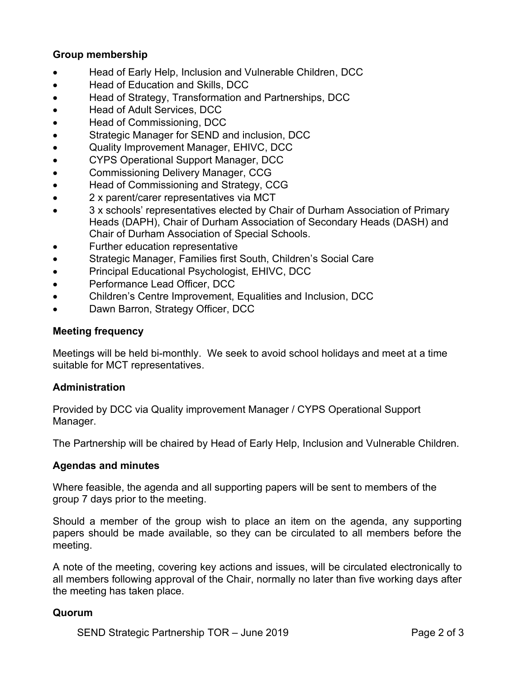#### **Group membership**

- Head of Early Help, Inclusion and Vulnerable Children, DCC
- Head of Education and Skills, DCC
- Head of Strategy, Transformation and Partnerships, DCC
- Head of Adult Services, DCC
- Head of Commissioning, DCC
- Strategic Manager for SEND and inclusion, DCC
- Quality Improvement Manager, EHIVC, DCC
- CYPS Operational Support Manager, DCC
- Commissioning Delivery Manager, CCG
- Head of Commissioning and Strategy, CCG
- 2 x parent/carer representatives via MCT
- 3 x schools' representatives elected by Chair of Durham Association of Primary Heads (DAPH), Chair of Durham Association of Secondary Heads (DASH) and Chair of Durham Association of Special Schools.
- Further education representative
- Strategic Manager, Families first South, Children's Social Care
- Principal Educational Psychologist, EHIVC, DCC
- Performance Lead Officer, DCC
- Children's Centre Improvement, Equalities and Inclusion, DCC
- Dawn Barron, Strategy Officer, DCC

#### **Meeting frequency**

Meetings will be held bi-monthly. We seek to avoid school holidays and meet at a time suitable for MCT representatives.

#### **Administration**

Provided by DCC via Quality improvement Manager / CYPS Operational Support Manager.

The Partnership will be chaired by Head of Early Help, Inclusion and Vulnerable Children.

#### **Agendas and minutes**

Where feasible, the agenda and all supporting papers will be sent to members of the group 7 days prior to the meeting.

Should a member of the group wish to place an item on the agenda, any supporting papers should be made available, so they can be circulated to all members before the meeting.

A note of the meeting, covering key actions and issues, will be circulated electronically to all members following approval of the Chair, normally no later than five working days after the meeting has taken place.

#### **Quorum**

SEND Strategic Partnership TOR – June 2019 **Page 2 of 3**